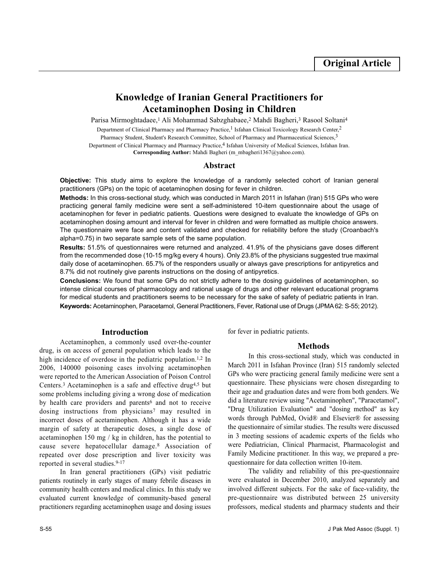# **Knowledge of Iranian General Practitioners for Acetaminophen Dosing in Children**

Parisa Mirmoghtadaee,<sup>1</sup> Ali Mohammad Sabzghabaee,<sup>2</sup> Mahdi Bagheri,<sup>3</sup> Rasool Soltani<sup>4</sup>

Department of Clinical Pharmacy and Pharmacy Practice,<sup>1</sup> Isfahan Clinical Toxicology Research Center,<sup>2</sup>

Pharmacy Student, Student's Research Committee, School of Pharmacy and Pharmaceutical Sciences,<sup>3</sup>

Department of Clinical Pharmacy and Pharmacy Practice,<sup>4</sup> Isfahan University of Medical Sciences, Isfahan Iran.

**Corresponding Author:** Mahdi Bagheri (m\_mbagheri1367@yahoo.com).

## **Abstract**

**Objective:** This study aims to explore the knowledge of a randomly selected cohort of Iranian general practitioners (GPs) on the topic of acetaminophen dosing for fever in children.

**Methods:** In this cross-sectional study, which was conducted in March 2011 in Isfahan (Iran) 515 GPs who were practicing general family medicine were sent a self-administered 10-item questionnaire about the usage of acetaminophen for fever in pediatric patients. Questions were designed to evaluate the knowledge of GPs on acetaminophen dosing amount and interval for fever in children and were formatted as multiple choice answers. The questionnaire were face and content validated and checked for reliability before the study (Croanbach's alpha=0.75) in two separate sample sets of the same population.

**Results:** 51.5% of questionnaires were returned and analyzed. 41.9% of the physicians gave doses different from the recommended dose (10-15 mg/kg every 4 hours). Only 23.8% of the physicians suggested true maximal daily dose of acetaminophen. 65.7% of the responders usually or always gave prescriptions for antipyretics and 8.7% did not routinely give parents instructions on the dosing of antipyretics.

**Conclusions:** We found that some GPs do not strictly adhere to the dosing guidelines of acetaminophen, so intense clinical courses of pharmacology and rational usage of drugs and other relevant educational programs for medical students and practitioners seems to be necessary for the sake of safety of pediatric patients in Iran. **Keywords:** Acetaminophen, Paracetamol, General Practitioners, Fever, Rational use of Drugs (JPMA 62: S-55; 2012).

# **Introduction**

Acetaminophen, a commonly used over-the-counter drug, is on access of general population which leads to the high incidence of overdose in the pediatric population.<sup>1,2</sup> In 2006, 140000 poisoning cases involving acetaminophen were reported to the American Association of Poison Control Centers.<sup>3</sup> Acetaminophen is a safe and effective drug4,5 but some problems including giving a wrong dose of medication by health care providers and parents<sup>6</sup> and not to receive dosing instructions from physicians<sup>7</sup> may resulted in incorrect doses of acetaminophen. Although it has a wide margin of safety at therapeutic doses, a single dose of acetaminophen 150 mg / kg in children, has the potential to cause severe hepatocellular damage.<sup>8</sup> Association of repeated over dose prescription and liver toxicity was reported in several studies.9-17

In Iran general practitioners (GPs) visit pediatric patients routinely in early stages of many febrile diseases in community health centers and medical clinics. In this study we evaluated current knowledge of community-based general practitioners regarding acetaminophen usage and dosing issues

for fever in pediatric patients.

## **Methods**

In this cross-sectional study, which was conducted in March 2011 in Isfahan Province (Iran) 515 randomly selected GPs who were practicing general family medicine were sent a questionnaire. These physicians were chosen disregarding to their age and graduation dates and were from both genders. We did a literature review using "Acetaminophen", "Paracetamol", "Drug Utilization Evaluation" and "dosing method" as key words through PubMed, Ovid® and Elsevier® for assessing the questionnaire of similar studies. The results were discussed in 3 meeting sessions of academic experts of the fields who were Pediatrician, Clinical Pharmacist, Pharmacologist and Family Medicine practitioner. In this way, we prepared a prequestionnaire for data collection written 10-item.

The validity and reliability of this pre-questionnaire were evaluated in December 2010, analyzed separately and involved different subjects. For the sake of face-validity, the pre-questionnaire was distributed between 25 university professors, medical students and pharmacy students and their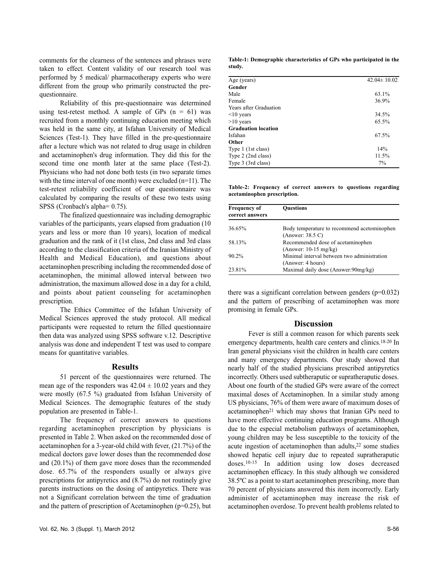comments for the clearness of the sentences and phrases were taken to effect. Content validity of our research tool was performed by 5 medical/ pharmacotherapy experts who were different from the group who primarily constructed the prequestionnaire.

Reliability of this pre-questionnaire was determined using test-retest method. A sample of GPs  $(n = 61)$  was recruited from a monthly continuing education meeting which was held in the same city, at Isfahan University of Medical Sciences (Test-1). They have filled in the pre-questionnaire after a lecture which was not related to drug usage in children and acetaminophen's drug information. They did this for the second time one month later at the same place (Test-2). Physicians who had not done both tests (in two separate times with the time interval of one month) were excluded (n=11). The test-retest reliability coefficient of our questionnaire was calculated by comparing the results of these two tests using SPSS (Cronbach's alpha= 0.75).

The finalized questionnaire was including demographic variables of the participants, years elapsed from graduation (10 years and less or more than 10 years), location of medical graduation and the rank of it (1st class, 2nd class and 3rd class according to the classification criteria of the Iranian Ministry of Health and Medical Education), and questions about acetaminophen prescribing including the recommended dose of acetaminophen, the minimal allowed interval between two administration, the maximum allowed dose in a day for a child, and points about patient counseling for acetaminophen prescription.

The Ethics Committee of the Isfahan University of Medical Sciences approved the study protocol. All medical participants were requested to return the filled questionnaire then data was analyzed using SPSS software v.12. Descriptive analysis was done and independent T test was used to compare means for quantitative variables.

#### **Results**

51 percent of the questionnaires were returned. The mean age of the responders was  $42.04 \pm 10.02$  years and they were mostly (67.5 %) graduated from Isfahan University of Medical Sciences. The demographic features of the study population are presented in Table-1.

The frequency of correct answers to questions regarding acetaminophen prescription by physicians is presented in Table 2. When asked on the recommended dose of acetaminophen for a 3-year-old child with fever, (21.7%) of the medical doctors gave lower doses than the recommended dose and (20.1%) of them gave more doses than the recommended dose. 65.7% of the responders usually or always give prescriptions for antipyretics and (8.7%) do not routinely give parents instructions on the dosing of antipyretics. There was not a Significant correlation between the time of graduation and the pattern of prescription of Acetaminophen ( $p=0.25$ ), but

**Table-1: Demographic characteristics of GPs who participated in the study.**

| Age (years)                | $42.04 \pm 10.02$ |
|----------------------------|-------------------|
| Gender                     |                   |
| Male                       | 63.1%             |
| Female                     | 36.9%             |
| Years after Graduation     |                   |
| $\leq 10$ years            | 34.5%             |
| $>10$ years                | 65.5%             |
| <b>Graduation location</b> |                   |
| Isfahan                    | 67.5%             |
| Other                      |                   |
| Type 1 (1st class)         | 14%               |
| Type 2 (2nd class)         | 11.5%             |
| Type 3 (3rd class)         | $7\%$             |

**Table-2: Frequency of correct answers to questions regarding acetaminophen prescription.**

| <b>Frequency of</b><br>correct answers | <b>Ouestions</b>                            |
|----------------------------------------|---------------------------------------------|
| 36.65%                                 | Body temperature to recommend acetominophen |
|                                        | (Answer: 38.5 C)                            |
| 58.13%                                 | Recommended dose of acetaminophen           |
|                                        | $(Answer: 10-15 mg/kg)$                     |
| $90.2\%$                               | Minimal interval between two administration |
|                                        | (Answer: 4 hours)                           |
| 23.81%                                 | Maximal daily dose (Answer: 90mg/kg)        |

there was a significant correlation between genders  $(p=0.032)$ and the pattern of prescribing of acetaminophen was more promising in female GPs.

## **Discussion**

Fever is still a common reason for which parents seek emergency departments, health care centers and clinics.18-20 In Iran general physicians visit the children in health care centers and many emergency departments. Our study showed that nearly half of the studied physicians prescribed antipyretics incorrectly. Others used subtheraputic or supratheraputic doses. About one fourth of the studied GPs were aware of the correct maximal doses of Acetaminophen. In a similar study among US physicians, 76% of them were aware of maximum doses of acetaminophen<sup>21</sup> which may shows that Iranian GPs need to have more effective continuing education programs. Although due to the especial metabolism pathways of acetaminophen, young children may be less susceptible to the toxicity of the acute ingestion of acetaminophen than adults,<sup>22</sup> some studies showed hepatic cell injury due to repeated supratheraputic doses.10-15 In addition using low doses decreased acetaminophen efficacy. In this study although we considered 38.5ºC as a point to start acetaminophen prescribing, more than 70 percent of physicians answered this item incorrectly. Early administer of acetaminophen may increase the risk of acetaminophen overdose. To prevent health problems related to